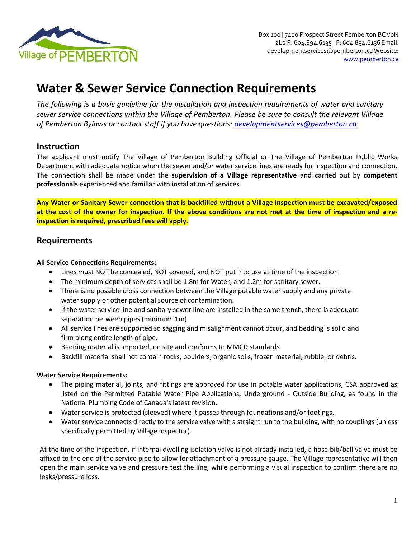

# **Water & Sewer Service Connection Requirements**

*The following is a basic guideline for the installation and inspection requirements of water and sanitary sewer service connections within the Village of Pemberton. Please be sure to consult the relevant Village of Pemberton Bylaws or contact staff if you have questions: [developmentservices@pemberton.ca](mailto:developmentservices@pemberton.ca?subject=Construction%20Costs%20Bulletin)*

### **Instruction**

The applicant must notify The Village of Pemberton Building Official or The Village of Pemberton Public Works Department with adequate notice when the sewer and/or water service lines are ready for inspection and connection. The connection shall be made under the **supervision of a Village representative** and carried out by **competent professionals** experienced and familiar with installation of services.

**Any Water or Sanitary Sewer connection that is backfilled without a Village inspection must be excavated/exposed at the cost of the owner for inspection. If the above conditions are not met at the time of inspection and a reinspection is required, prescribed fees will apply.**

## **Requirements**

#### **All Service Connections Requirements:**

- Lines must NOT be concealed, NOT covered, and NOT put into use at time of the inspection.
- The minimum depth of services shall be 1.8m for Water, and 1.2m for sanitary sewer.
- There is no possible cross connection between the Village potable water supply and any private water supply or other potential source of contamination.
- If the water service line and sanitary sewer line are installed in the same trench, there is adequate separation between pipes (minimum 1m).
- All service lines are supported so sagging and misalignment cannot occur, and bedding is solid and firm along entire length of pipe.
- Bedding material is imported, on site and conforms to MMCD standards.
- Backfill material shall not contain rocks, boulders, organic soils, frozen material, rubble, or debris.

#### **Water Service Requirements:**

- The piping material, joints, and fittings are approved for use in potable water applications, CSA approved as listed on the Permitted Potable Water Pipe Applications, Underground - Outside Building, as found in the National Plumbing Code of Canada's latest revision.
- Water service is protected (sleeved) where it passes through foundations and/or footings.
- Water service connects directly to the service valve with a straight run to the building, with no couplings (unless specifically permitted by Village inspector).

At the time of the inspection, if internal dwelling isolation valve is not already installed, a hose bib/ball valve must be affixed to the end of the service pipe to allow for attachment of a pressure gauge. The Village representative will then open the main service valve and pressure test the line, while performing a visual inspection to confirm there are no leaks/pressure loss.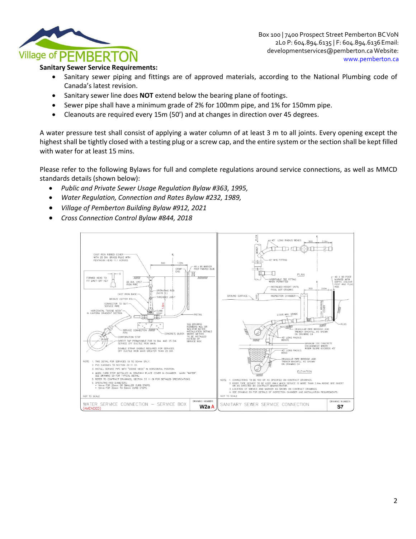

Box 100 | 7400 Prospect Street Pemberton BCV0N 2L0 P: 604.894.6135 | F: 604.894.6136Email: [developmentservices@pemberton.ca](mailto:admin@pemberton.ca) Website: [www.pemberton.ca](http://www.pemberton.ca/)

#### **Sanitary Sewer Service Requirements:**

- Sanitary sewer piping and fittings are of approved materials, according to the National Plumbing code of Canada's latest revision.
- Sanitary sewer line does **NOT** extend below the bearing plane of footings.
- Sewer pipe shall have a minimum grade of 2% for 100mm pipe, and 1% for 150mm pipe.
- Cleanouts are required every 15m (50') and at changes in direction over 45 degrees.

A water pressure test shall consist of applying a water column of at least 3 m to all joints. Every opening except the highest shall be tightly closed with a testing plug or a screw cap, and the entire system or the section shall be kept filled with water for at least 15 mins.

Please refer to the following Bylaws for full and complete regulations around service connections, as well as MMCD standards details (shown below):

- *Public and Private Sewer Usage Regulation Bylaw #363, 1995,*
- *Water Regulation, Connection and Rates Bylaw #232, 1989,*
- *Village of Pemberton Building Bylaw #912, 2021*
- *Cross Connection Control Bylaw #844, 2018*

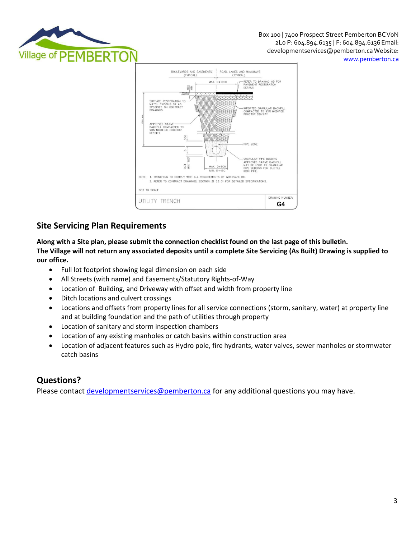

Box 100 | 7400 Prospect Street Pemberton BCV0N 2L0 P: 604.894.6135 | F: 604.894.6136Email: [developmentservices@pemberton.ca](mailto:admin@pemberton.ca) Website: [www.pemberton.ca](http://www.pemberton.ca/)



## **Site Servicing Plan Requirements**

**Along with a Site plan, please submit the connection checklist found on the last page of this bulletin. The Village will not return any associated deposits until a complete Site Servicing (As Built) Drawing is supplied to our office.** 

- Full lot footprint showing legal dimension on each side
- All Streets (with name) and Easements/Statutory Rights-of-Way
- Location of Building, and Driveway with offset and width from property line
- Ditch locations and culvert crossings
- Locations and offsets from property lines for all service connections (storm, sanitary, water) at property line and at building foundation and the path of utilities through property
- Location of sanitary and storm inspection chambers
- Location of any existing manholes or catch basins within construction area
- Location of adjacent features such as Hydro pole, fire hydrants, water valves, sewer manholes or stormwater catch basins

## **Questions?**

Please contact [developmentservices@pemberton.ca](mailto:developmentservices@pemberton.ca) for any additional questions you may have.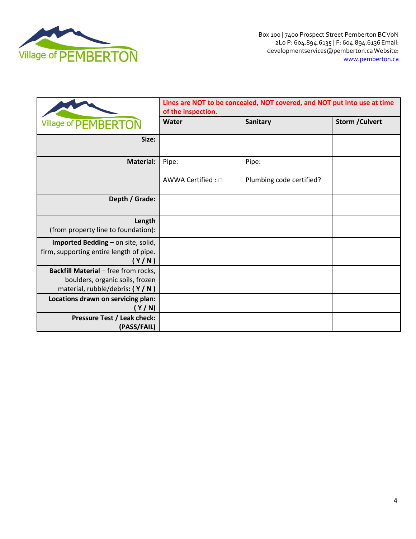

|                                                                                                                  | Lines are NOT to be concealed, NOT covered, and NOT put into use at time<br>of the inspection. |                          |                        |
|------------------------------------------------------------------------------------------------------------------|------------------------------------------------------------------------------------------------|--------------------------|------------------------|
| Village of PEMBERTON                                                                                             | Water                                                                                          | <b>Sanitary</b>          | <b>Storm / Culvert</b> |
| Size:                                                                                                            |                                                                                                |                          |                        |
| <b>Material:</b>                                                                                                 | Pipe:                                                                                          | Pipe:                    |                        |
|                                                                                                                  | AWWA Certified : □                                                                             | Plumbing code certified? |                        |
| Depth / Grade:                                                                                                   |                                                                                                |                          |                        |
| Length<br>(from property line to foundation):                                                                    |                                                                                                |                          |                        |
| Imported Bedding - on site, solid,<br>firm, supporting entire length of pipe.<br>(Y/N)                           |                                                                                                |                          |                        |
| <b>Backfill Material - free from rocks,</b><br>boulders, organic soils, frozen<br>material, rubble/debris: (Y/N) |                                                                                                |                          |                        |
| Locations drawn on servicing plan:<br>(Y/N)                                                                      |                                                                                                |                          |                        |
| Pressure Test / Leak check:<br>(PASS/FAIL)                                                                       |                                                                                                |                          |                        |